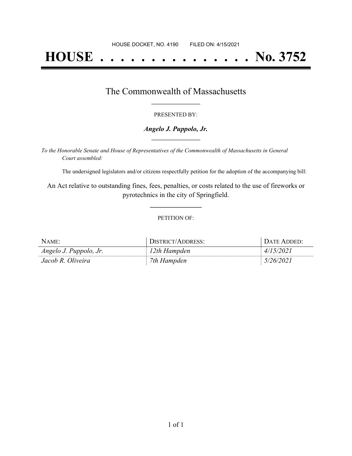# **HOUSE . . . . . . . . . . . . . . . No. 3752**

### The Commonwealth of Massachusetts **\_\_\_\_\_\_\_\_\_\_\_\_\_\_\_\_\_**

#### PRESENTED BY:

#### *Angelo J. Puppolo, Jr.* **\_\_\_\_\_\_\_\_\_\_\_\_\_\_\_\_\_**

*To the Honorable Senate and House of Representatives of the Commonwealth of Massachusetts in General Court assembled:*

The undersigned legislators and/or citizens respectfully petition for the adoption of the accompanying bill:

An Act relative to outstanding fines, fees, penalties, or costs related to the use of fireworks or pyrotechnics in the city of Springfield.

**\_\_\_\_\_\_\_\_\_\_\_\_\_\_\_**

#### PETITION OF:

| NAME:                  | DISTRICT/ADDRESS: | DATE ADDED: |
|------------------------|-------------------|-------------|
| Angelo J. Puppolo, Jr. | 12th Hampden      | 4/15/2021   |
| Jacob R. Oliveira      | 7th Hampden       | 5/26/2021   |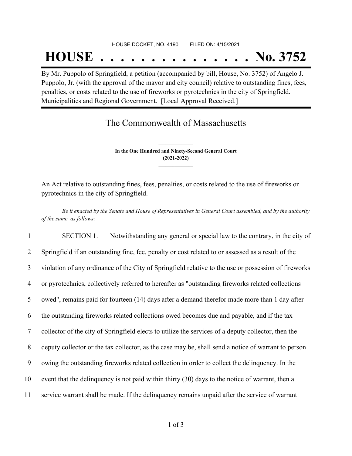## HOUSE DOCKET, NO. 4190 FILED ON: 4/15/2021 **HOUSE . . . . . . . . . . . . . . . No. 3752**

By Mr. Puppolo of Springfield, a petition (accompanied by bill, House, No. 3752) of Angelo J. Puppolo, Jr. (with the approval of the mayor and city council) relative to outstanding fines, fees, penalties, or costs related to the use of fireworks or pyrotechnics in the city of Springfield. Municipalities and Regional Government. [Local Approval Received.]

## The Commonwealth of Massachusetts

**In the One Hundred and Ninety-Second General Court (2021-2022) \_\_\_\_\_\_\_\_\_\_\_\_\_\_\_**

**\_\_\_\_\_\_\_\_\_\_\_\_\_\_\_**

An Act relative to outstanding fines, fees, penalties, or costs related to the use of fireworks or pyrotechnics in the city of Springfield.

Be it enacted by the Senate and House of Representatives in General Court assembled, and by the authority *of the same, as follows:*

 SECTION 1. Notwithstanding any general or special law to the contrary, in the city of Springfield if an outstanding fine, fee, penalty or cost related to or assessed as a result of the violation of any ordinance of the City of Springfield relative to the use or possession of fireworks or pyrotechnics, collectively referred to hereafter as "outstanding fireworks related collections owed", remains paid for fourteen (14) days after a demand therefor made more than 1 day after the outstanding fireworks related collections owed becomes due and payable, and if the tax collector of the city of Springfield elects to utilize the services of a deputy collector, then the deputy collector or the tax collector, as the case may be, shall send a notice of warrant to person owing the outstanding fireworks related collection in order to collect the delinquency. In the event that the delinquency is not paid within thirty (30) days to the notice of warrant, then a service warrant shall be made. If the delinquency remains unpaid after the service of warrant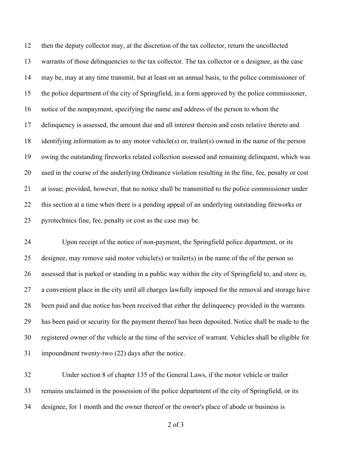then the deputy collector may, at the discretion of the tax collector, return the uncollected warrants of those delinquencies to the tax collector. The tax collector or a designee, as the case may be, may at any time transmit, but at least on an annual basis, to the police commissioner of the police department of the city of Springfield, in a form approved by the police commissioner, notice of the nonpayment, specifying the name and address of the person to whom the delinquency is assessed, the amount due and all interest thereon and costs relative thereto and identifying information as to any motor vehicle(s) or, trailer(s) owned in the name of the person owing the outstanding fireworks related collection assessed and remaining delinquent, which was used in the course of the underlying Ordinance violation resulting in the fine, fee, penalty or cost at issue; provided, however, that no notice shall be transmitted to the police commissioner under this section at a time when there is a pending appeal of an underlying outstanding fireworks or pyrotechnics fine, fee, penalty or cost as the case may be.

 Upon receipt of the notice of non-payment, the Springfield police department, or its designee, may remove said motor vehicle(s) or trailer(s) in the name of the of the person so assessed that is parked or standing in a public way within the city of Springfield to, and store in, a convenient place in the city until all charges lawfully imposed for the removal and storage have been paid and due notice has been received that either the delinquency provided in the warrants has been paid or security for the payment thereof has been deposited. Notice shall be made to the registered owner of the vehicle at the time of the service of warrant. Vehicles shall be eligible for impoundment twenty-two (22) days after the notice.

 Under section 8 of chapter 135 of the General Laws, if the motor vehicle or trailer remains unclaimed in the possession of the police department of the city of Springfield, or its designee, for 1 month and the owner thereof or the owner's place of abode or business is

of 3